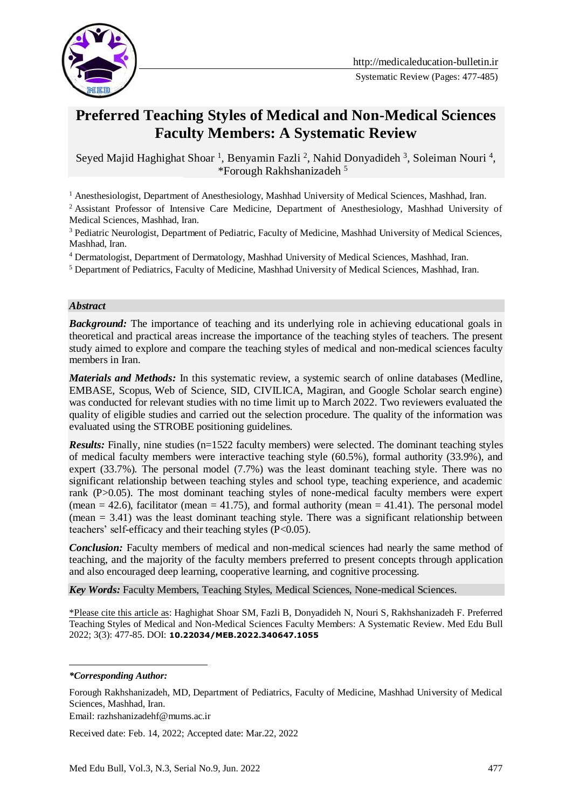

# **Preferred Teaching Styles of Medical and Non-Medical Sciences Faculty Members: A Systematic Review**

Seyed Majid Haghighat Shoar<sup>1</sup>, Benyamin Fazli<sup>2</sup>, Nahid Donyadideh<sup>3</sup>, Soleiman Nouri<sup>4</sup>, \*Forough Rakhshanizadeh 51

<sup>1</sup> Anesthesiologist, Department of Anesthesiology, Mashhad University of Medical Sciences, Mashhad, Iran.

<sup>2</sup> Assistant Professor of Intensive Care Medicine, Department of Anesthesiology, Mashhad University of Medical Sciences, Mashhad, Iran.

<sup>3</sup> Pediatric Neurologist, Department of Pediatric, Faculty of Medicine, Mashhad University of Medical Sciences, Mashhad, Iran.

<sup>4</sup> Dermatologist, Department of Dermatology, Mashhad University of Medical Sciences, Mashhad, Iran.

<sup>5</sup> Department of Pediatrics, Faculty of Medicine, Mashhad University of Medical Sciences, Mashhad, Iran.

#### *Abstract*

**Background:** The importance of teaching and its underlying role in achieving educational goals in theoretical and practical areas increase the importance of the teaching styles of teachers. The present study aimed to explore and compare the teaching styles of medical and non-medical sciences faculty members in Iran.

*Materials and Methods:* In this systematic review, a systemic search of online databases (Medline, EMBASE, Scopus, Web of Science, SID, CIVILICA, Magiran, and Google Scholar search engine) was conducted for relevant studies with no time limit up to March 2022. Two reviewers evaluated the quality of eligible studies and carried out the selection procedure. The quality of the information was evaluated using the STROBE positioning guidelines.

*Results:* Finally, nine studies (n=1522 faculty members) were selected. The dominant teaching styles of medical faculty members were interactive teaching style (60.5%), formal authority (33.9%), and expert (33.7%). The personal model (7.7%) was the least dominant teaching style. There was no significant relationship between teaching styles and school type, teaching experience, and academic rank (P>0.05). The most dominant teaching styles of none-medical faculty members were expert (mean  $= 42.6$ ), facilitator (mean  $= 41.75$ ), and formal authority (mean  $= 41.41$ ). The personal model  $(mean = 3.41)$  was the least dominant teaching style. There was a significant relationship between teachers' self-efficacy and their teaching styles (P<0.05).

**Conclusion:** Faculty members of medical and non-medical sciences had nearly the same method of teaching, and the majority of the faculty members preferred to present concepts through application and also encouraged deep learning, cooperative learning, and cognitive processing.

*Key Words:* Faculty Members, Teaching Styles, Medical Sciences, None-medical Sciences.

\*Please cite this article as: Haghighat Shoar SM, Fazli B, Donyadideh N, Nouri S, Rakhshanizadeh F. Preferred Teaching Styles of Medical and Non-Medical Sciences Faculty Members: A Systematic Review. Med Edu Bull 2022; 3(3): 477-85. DOI: **[10.22034/MEB.2022.340647.1055](https://dx.doi.org/10.22034/meb.2022.340647.1055)**

*\*Corresponding Author:*

<u>.</u>

Email: razhshanizadehf@mums.ac.ir

Received date: Feb. 14, 2022; Accepted date: Mar.22, 2022

Forough Rakhshanizadeh, MD, Department of Pediatrics, Faculty of Medicine, Mashhad University of Medical Sciences, Mashhad, Iran.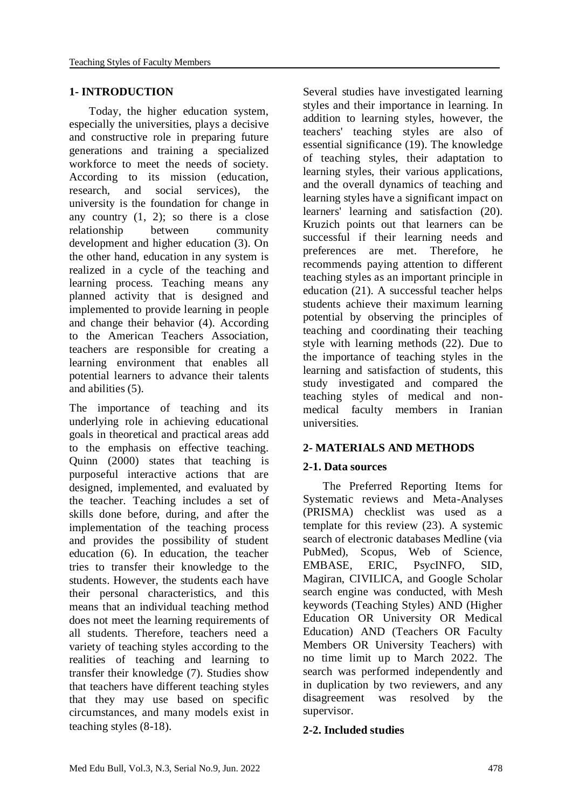### **1- INTRODUCTION**

 Today, the higher education system, especially the universities, plays a decisive and constructive role in preparing future generations and training a specialized workforce to meet the needs of society. According to its mission (education, research, and social services), the university is the foundation for change in any country  $(1, 2)$ ; so there is a close relationship between community development and higher education (3). On the other hand, education in any system is realized in a cycle of the teaching and learning process. Teaching means any planned activity that is designed and implemented to provide learning in people and change their behavior (4). According to the American Teachers Association, teachers are responsible for creating a learning environment that enables all potential learners to advance their talents and abilities (5).

The importance of teaching and its underlying role in achieving educational goals in theoretical and practical areas add to the emphasis on effective teaching. Quinn (2000) states that teaching is purposeful interactive actions that are designed, implemented, and evaluated by the teacher. Teaching includes a set of skills done before, during, and after the implementation of the teaching process and provides the possibility of student education (6). In education, the teacher tries to transfer their knowledge to the students. However, the students each have their personal characteristics, and this means that an individual teaching method does not meet the learning requirements of all students. Therefore, teachers need a variety of teaching styles according to the realities of teaching and learning to transfer their knowledge (7). Studies show that teachers have different teaching styles that they may use based on specific circumstances, and many models exist in teaching styles (8-18).

Several studies have investigated learning styles and their importance in learning. In addition to learning styles, however, the teachers' teaching styles are also of essential significance (19). The knowledge of teaching styles, their adaptation to learning styles, their various applications, and the overall dynamics of teaching and learning styles have a significant impact on learners' learning and satisfaction (20). Kruzich points out that learners can be successful if their learning needs and preferences are met. Therefore, he recommends paying attention to different teaching styles as an important principle in education (21). A successful teacher helps students achieve their maximum learning potential by observing the principles of teaching and coordinating their teaching style with learning methods (22). Due to the importance of teaching styles in the learning and satisfaction of students, this study investigated and compared the teaching styles of medical and nonmedical faculty members in Iranian universities.

### **2- MATERIALS AND METHODS**

### **2-1. Data sources**

 The Preferred Reporting Items for Systematic reviews and Meta-Analyses (PRISMA) checklist was used as a template for this review (23). A systemic search of electronic databases Medline (via PubMed), Scopus, Web of Science, EMBASE, ERIC, PsycINFO, SID, Magiran, CIVILICA, and Google Scholar search engine was conducted, with Mesh keywords (Teaching Styles) AND (Higher Education OR University OR Medical Education) AND (Teachers OR Faculty Members OR University Teachers) with no time limit up to March 2022. The search was performed independently and in duplication by two reviewers, and any disagreement was resolved by the supervisor.

### **2-2. Included studies**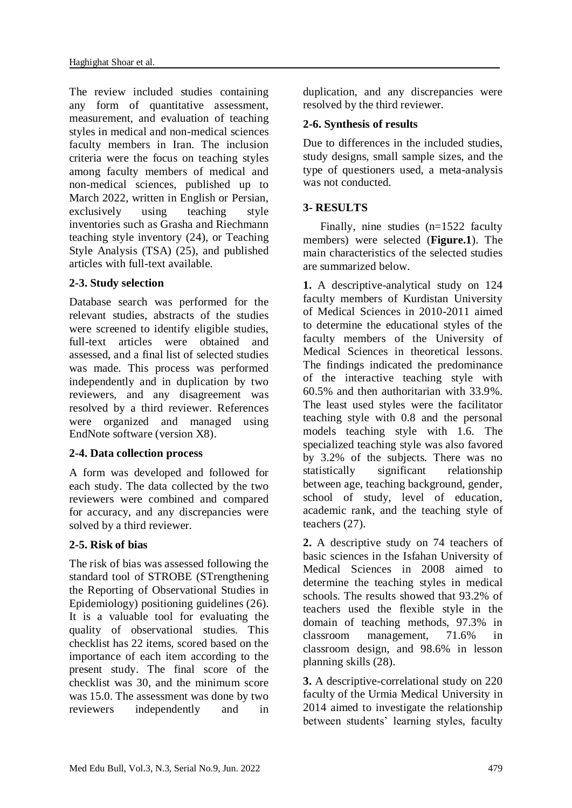The review included studies containing any form of quantitative assessment, measurement, and evaluation of teaching styles in medical and non-medical sciences faculty members in Iran. The inclusion criteria were the focus on teaching styles among faculty members of medical and non-medical sciences, published up to March 2022, written in English or Persian, exclusively using teaching style inventories such as Grasha and Riechmann teaching style inventory (24), or Teaching Style Analysis (TSA) (25), and published articles with full-text available.

## **2-3. Study selection**

Database search was performed for the relevant studies, abstracts of the studies were screened to identify eligible studies, full-text articles were obtained and assessed, and a final list of selected studies was made. This process was performed independently and in duplication by two reviewers, and any disagreement was resolved by a third reviewer. References were organized and managed using EndNote software (version X8).

### **2-4. Data collection process**

A form was developed and followed for each study. The data collected by the two reviewers were combined and compared for accuracy, and any discrepancies were solved by a third reviewer.

# **2-5. Risk of bias**

The risk of bias was assessed following the standard tool of STROBE (STrengthening the Reporting of Observational Studies in Epidemiology) positioning guidelines (26). It is a valuable tool for evaluating the quality of observational studies. This checklist has 22 items, scored based on the importance of each item according to the present study. The final score of the checklist was 30, and the minimum score was 15.0. The assessment was done by two reviewers independently and in

duplication, and any discrepancies were resolved by the third reviewer.

## **2-6. Synthesis of results**

Due to differences in the included studies, study designs, small sample sizes, and the type of questioners used, a meta-analysis was not conducted.

## **3- RESULTS**

 Finally, nine studies (n=1522 faculty members) were selected (**Figure.1**). The main characteristics of the selected studies are summarized below.

**1.** A descriptive-analytical study on 124 faculty members of Kurdistan University of Medical Sciences in 2010-2011 aimed to determine the educational styles of the faculty members of the University of Medical Sciences in theoretical lessons. The findings indicated the predominance of the interactive teaching style with 60.5% and then authoritarian with 33.9%. The least used styles were the facilitator teaching style with 0.8 and the personal models teaching style with 1.6. The specialized teaching style was also favored by 3.2% of the subjects. There was no statistically significant relationship between age, teaching background, gender, school of study, level of education, academic rank, and the teaching style of teachers (27).

**2.** A descriptive study on 74 teachers of basic sciences in the Isfahan University of Medical Sciences in 2008 aimed to determine the teaching styles in medical schools. The results showed that 93.2% of teachers used the flexible style in the domain of teaching methods, 97.3% in classroom management, 71.6% in classroom design, and 98.6% in lesson planning skills (28).

**3.** A descriptive-correlational study on 220 faculty of the Urmia Medical University in 2014 aimed to investigate the relationship between students' learning styles, faculty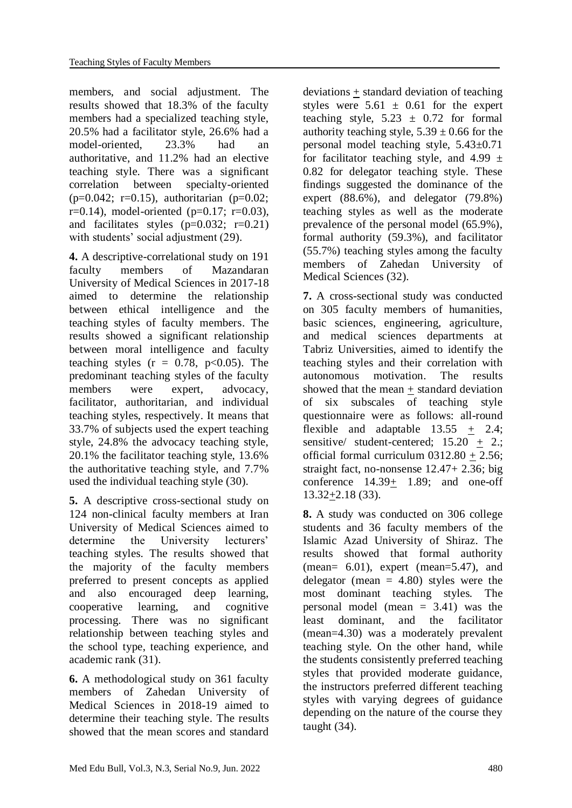members, and social adjustment. The results showed that 18.3% of the faculty members had a specialized teaching style, 20.5% had a facilitator style, 26.6% had a model-oriented, 23.3% had an authoritative, and 11.2% had an elective teaching style. There was a significant correlation between specialty-oriented  $(p=0.042; r=0.15)$ , authoritarian  $(p=0.02;$  $r=0.14$ ), model-oriented (p=0.17; r=0.03), and facilitates styles  $(p=0.032; r=0.21)$ with students' social adjustment (29).

**4.** A descriptive-correlational study on 191 faculty members of Mazandaran University of Medical Sciences in 2017-18 aimed to determine the relationship between ethical intelligence and the teaching styles of faculty members. The results showed a significant relationship between moral intelligence and faculty teaching styles  $(r = 0.78, p<0.05)$ . The predominant teaching styles of the faculty members were expert, advocacy, facilitator, authoritarian, and individual teaching styles, respectively. It means that 33.7% of subjects used the expert teaching style, 24.8% the advocacy teaching style, 20.1% the facilitator teaching style, 13.6% the authoritative teaching style, and 7.7% used the individual teaching style (30).

**5.** A descriptive cross-sectional study on 124 non-clinical faculty members at Iran University of Medical Sciences aimed to determine the University lecturers' teaching styles. The results showed that the majority of the faculty members preferred to present concepts as applied and also encouraged deep learning, cooperative learning, and cognitive processing. There was no significant relationship between teaching styles and the school type, teaching experience, and academic rank (31).

**6.** A methodological study on 361 faculty members of Zahedan University of Medical Sciences in 2018-19 aimed to determine their teaching style. The results showed that the mean scores and standard

deviations + standard deviation of teaching styles were  $5.61 \pm 0.61$  for the expert teaching style,  $5.23 \pm 0.72$  for formal authority teaching style,  $5.39 \pm 0.66$  for the personal model teaching style, 5.43±0.71 for facilitator teaching style, and 4.99  $\pm$ 0.82 for delegator teaching style. These findings suggested the dominance of the expert (88.6%), and delegator (79.8%) teaching styles as well as the moderate prevalence of the personal model (65.9%), formal authority (59.3%), and facilitator (55.7%) teaching styles among the faculty members of Zahedan University of Medical Sciences (32).

**7.** A cross-sectional study was conducted on 305 faculty members of humanities, basic sciences, engineering, agriculture, and medical sciences departments at Tabriz Universities, aimed to identify the teaching styles and their correlation with autonomous motivation. The results showed that the mean + standard deviation of six subscales of teaching style questionnaire were as follows: all-round flexible and adaptable  $13.55 + 2.4$ ; sensitive/ student-centered;  $15.20 \pm 2.$ ; official formal curriculum  $0312.80 + 2.56$ ; straight fact, no-nonsense 12.47+ 2.36; big conference 14.39+ 1.89; and one-off  $13.32+2.18(33)$ .

**8.** A study was conducted on 306 college students and 36 faculty members of the Islamic Azad University of Shiraz. The results showed that formal authority (mean=  $6.01$ ), expert (mean= $5.47$ ), and delegator (mean  $= 4.80$ ) styles were the most dominant teaching styles. The personal model (mean  $= 3.41$ ) was the least dominant, and the facilitator (mean=4.30) was a moderately prevalent teaching style. On the other hand, while the students consistently preferred teaching styles that provided moderate guidance, the instructors preferred different teaching styles with varying degrees of guidance depending on the nature of the course they taught (34).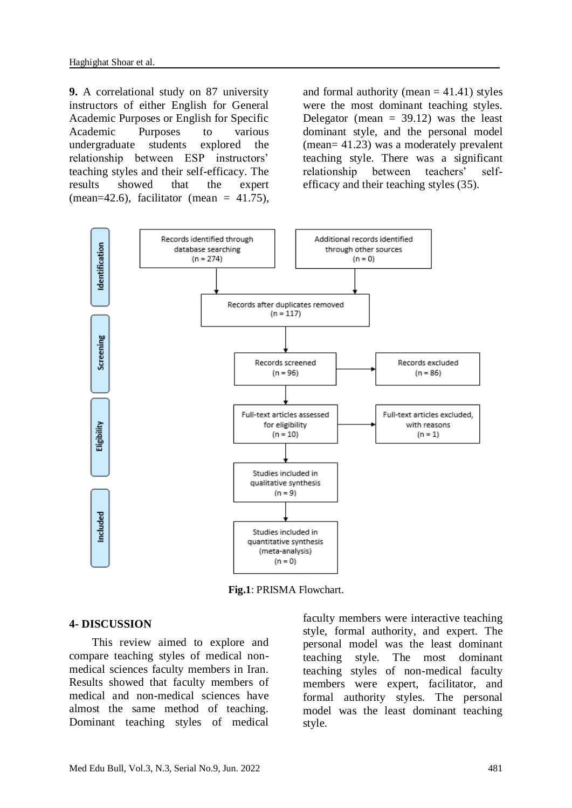**9.** A correlational study on 87 university instructors of either English for General Academic Purposes or English for Specific Academic Purposes to various undergraduate students explored the relationship between ESP instructors' teaching styles and their self-efficacy. The results showed that the expert (mean=42.6), facilitator (mean =  $41.75$ ),

and formal authority (mean  $= 41.41$ ) styles were the most dominant teaching styles. Delegator (mean  $= 39.12$ ) was the least dominant style, and the personal model (mean= 41.23) was a moderately prevalent teaching style. There was a significant relationship between teachers' selfefficacy and their teaching styles (35).



**Fig.1**: PRISMA Flowchart.

#### **4- DISCUSSION**

 This review aimed to explore and compare teaching styles of medical nonmedical sciences faculty members in Iran. Results showed that faculty members of medical and non-medical sciences have almost the same method of teaching. Dominant teaching styles of medical faculty members were interactive teaching style, formal authority, and expert. The personal model was the least dominant teaching style. The most dominant teaching styles of non-medical faculty members were expert, facilitator, and formal authority styles. The personal model was the least dominant teaching style.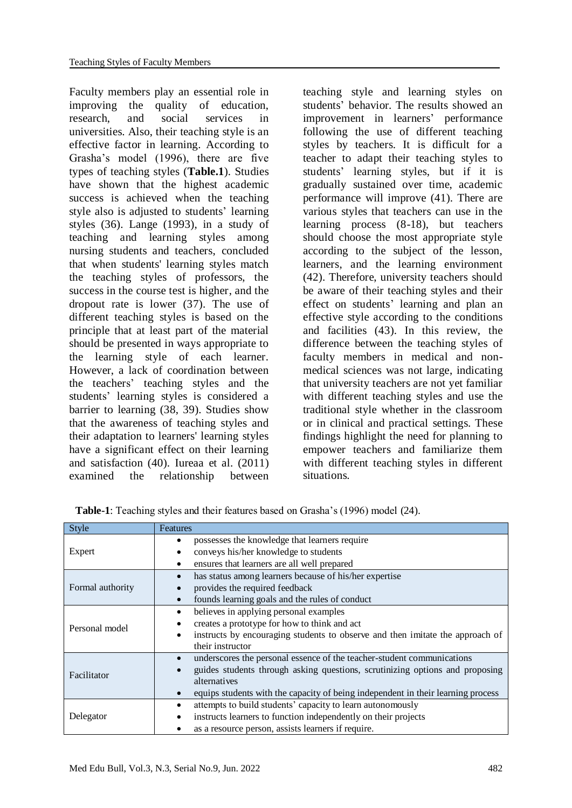Faculty members play an essential role in improving the quality of education, research, and social services in universities. Also, their teaching style is an effective factor in learning. According to Grasha's model (1996), there are five types of teaching styles (**Table.1**). Studies have shown that the highest academic success is achieved when the teaching style also is adjusted to students' learning styles (36). Lange (1993), in a study of teaching and learning styles among nursing students and teachers, concluded that when students' learning styles match the teaching styles of professors, the success in the course test is higher, and the dropout rate is lower (37). The use of different teaching styles is based on the principle that at least part of the material should be presented in ways appropriate to the learning style of each learner. However, a lack of coordination between the teachers' teaching styles and the students' learning styles is considered a barrier to learning (38, 39). Studies show that the awareness of teaching styles and their adaptation to learners' learning styles have a significant effect on their learning and satisfaction (40). Iureaa et al. (2011) examined the relationship between

teaching style and learning styles on students' behavior. The results showed an improvement in learners' performance following the use of different teaching styles by teachers. It is difficult for a teacher to adapt their teaching styles to students' learning styles, but if it is gradually sustained over time, academic performance will improve (41). There are various styles that teachers can use in the learning process (8-18), but teachers should choose the most appropriate style according to the subject of the lesson, learners, and the learning environment (42). Therefore, university teachers should be aware of their teaching styles and their effect on students' learning and plan an effective style according to the conditions and facilities (43). In this review, the difference between the teaching styles of faculty members in medical and nonmedical sciences was not large, indicating that university teachers are not yet familiar with different teaching styles and use the traditional style whether in the classroom or in clinical and practical settings. These findings highlight the need for planning to empower teachers and familiarize them with different teaching styles in different situations.

| Style            | Features                                                                                                                                                                                                                                                                             |
|------------------|--------------------------------------------------------------------------------------------------------------------------------------------------------------------------------------------------------------------------------------------------------------------------------------|
| Expert           | possesses the knowledge that learners require<br>conveys his/her knowledge to students<br>٠                                                                                                                                                                                          |
|                  | ensures that learners are all well prepared<br>٠                                                                                                                                                                                                                                     |
| Formal authority | has status among learners because of his/her expertise<br>$\bullet$<br>provides the required feedback<br>founds learning goals and the rules of conduct                                                                                                                              |
| Personal model   | believes in applying personal examples<br>٠<br>creates a prototype for how to think and act<br>instructs by encouraging students to observe and then imitate the approach of<br>their instructor                                                                                     |
| Facilitator      | underscores the personal essence of the teacher-student communications<br>$\bullet$<br>guides students through asking questions, scrutinizing options and proposing<br>alternatives<br>equips students with the capacity of being independent in their learning process<br>$\bullet$ |
| Delegator        | attempts to build students' capacity to learn autonomously<br>٠<br>instructs learners to function independently on their projects<br>٠<br>as a resource person, assists learners if require.                                                                                         |

 **Table-1**: Teaching styles and their features based on Grasha's (1996) model (24).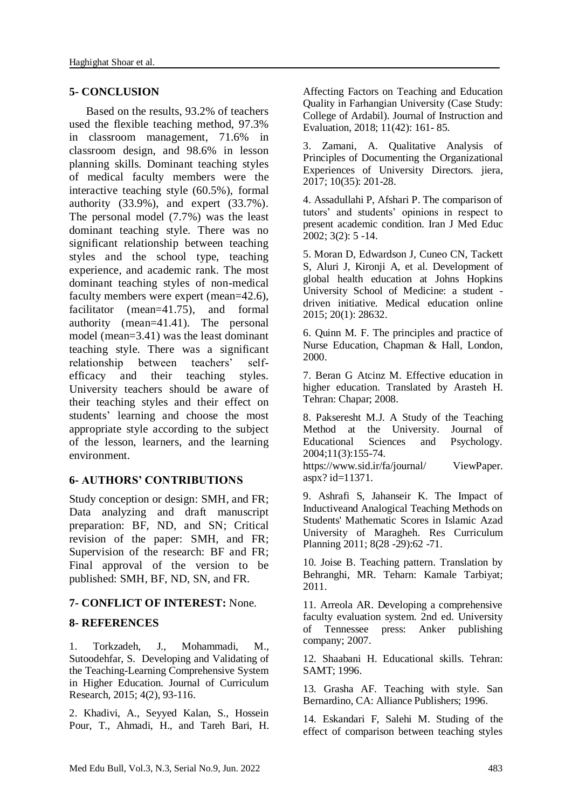### **5- CONCLUSION**

 Based on the results, 93.2% of teachers used the flexible teaching method, 97.3% in classroom management, 71.6% in classroom design, and 98.6% in lesson planning skills. Dominant teaching styles of medical faculty members were the interactive teaching style (60.5%), formal authority (33.9%), and expert (33.7%). The personal model (7.7%) was the least dominant teaching style. There was no significant relationship between teaching styles and the school type, teaching experience, and academic rank. The most dominant teaching styles of non-medical faculty members were expert (mean=42.6), facilitator (mean=41.75), and formal authority (mean=41.41). The personal model (mean=3.41) was the least dominant teaching style. There was a significant relationship between teachers' selfefficacy and their teaching styles. University teachers should be aware of their teaching styles and their effect on students' learning and choose the most appropriate style according to the subject of the lesson, learners, and the learning environment.

### **6- AUTHORS' CONTRIBUTIONS**

Study conception or design: SMH, and FR; Data analyzing and draft manuscript preparation: BF, ND, and SN; Critical revision of the paper: SMH, and FR; Supervision of the research: BF and FR; Final approval of the version to be published: SMH, BF, ND, SN, and FR.

### **7- CONFLICT OF INTEREST:** None.

### **8- REFERENCES**

1. Torkzadeh, J., Mohammadi, M., Sutoodehfar, S. Developing and Validating of the Teaching-Learning Comprehensive System in Higher Education. Journal of Curriculum Research, 2015; 4(2), 93-116.

2. Khadivi, A., Seyyed Kalan, S., Hossein Pour, T., Ahmadi, H., and Tareh Bari, H. Affecting Factors on Teaching and Education Quality in Farhangian University (Case Study: College of Ardabil). Journal of Instruction and Evaluation, 2018; 11(42): 161- 85.

3. Zamani, A. Qualitative Analysis of Principles of Documenting the Organizational Experiences of University Directors. jiera, 2017; 10(35): 201-28.

4. Assadullahi P, Afshari P. The comparison of tutors' and students' opinions in respect to present academic condition. Iran J Med Educ 2002; 3(2): 5 -14.

5. Moran D, Edwardson J, Cuneo CN, Tackett S, Aluri J, Kironji A, et al. Development of global health education at Johns Hopkins University School of Medicine: a student driven initiative. Medical education online 2015; 20(1): 28632.

6. Quinn M. F. The principles and practice of Nurse Education, Chapman & Hall, London, 2000.

7. Beran G Atcinz M. Effective education in higher education. Translated by Arasteh H. Tehran: Chapar; 2008.

8. Pakseresht M.J. A Study of the Teaching Method at the University. Journal of Educational Sciences and Psychology. 2004;11(3):155-74. https://www.sid.ir/fa/journal/ ViewPaper. aspx? id=11371.

9. Ashrafi S, Jahanseir K. The Impact of Inductiveand Analogical Teaching Methods on Students' Mathematic Scores in Islamic Azad University of Maragheh. Res Curriculum Planning 2011; 8(28 -29):62 -71.

10. Joise B. Teaching pattern. Translation by Behranghi, MR. Teharn: Kamale Tarbiyat; 2011.

11. Arreola AR. Developing a comprehensive faculty evaluation system. 2nd ed. University of Tennessee press: Anker publishing company; 2007.

12. Shaabani H. Educational skills. Tehran: SAMT; 1996.

13. Grasha AF. Teaching with style. San Bernardino, CA: Alliance Publishers; 1996.

14. Eskandari F, Salehi M. Studing of the effect of comparison between teaching styles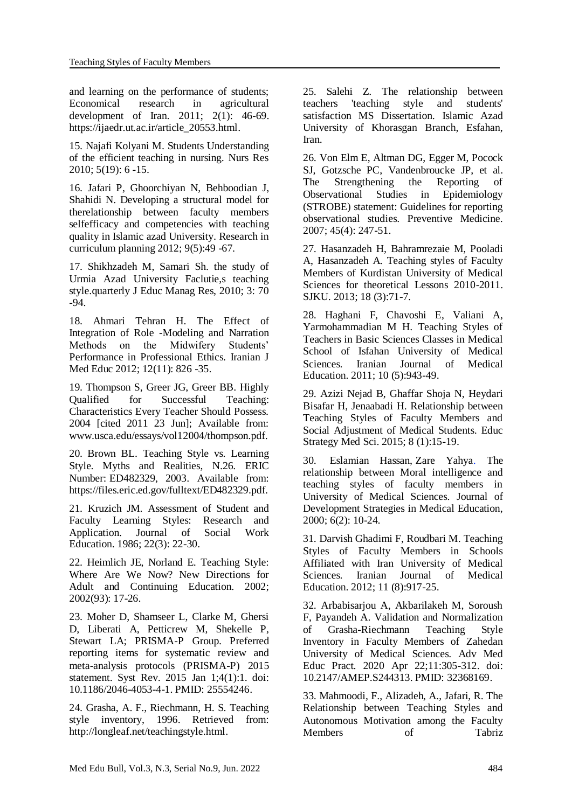and learning on the performance of students;<br>Economical research in agricultural in agricultural development of Iran. 2011; 2(1): 46-69. https://ijaedr.ut.ac.ir/article\_20553.html.

15. Najafi Kolyani M. Students Understanding of the efficient teaching in nursing. Nurs Res 2010; 5(19): 6 -15.

16. Jafari P, Ghoorchiyan N, Behboodian J, Shahidi N. Developing a structural model for therelationship between faculty members selfefficacy and competencies with teaching quality in Islamic azad University. Research in curriculum planning 2012; 9(5):49 -67.

17. Shikhzadeh M, Samari Sh. the study of Urmia Azad University Faclutie,s teaching style.quarterly J Educ Manag Res, 2010; 3: 70 -94.

18. Ahmari Tehran H. The Effect of Integration of Role -Modeling and Narration Methods on the Midwifery Students' Performance in Professional Ethics. Iranian J Med Educ 2012; 12(11): 826 -35.

19. Thompson S, Greer JG, Greer BB. Highly Qualified for Successful Teaching: Characteristics Every Teacher Should Possess. 2004 [cited 2011 23 Jun]; Available from: www.usca.edu/essays/vol12004/thompson.pdf.

20. Brown BL. Teaching Style vs. Learning Style. Myths and Realities, N.26. ERIC Number: ED482329, 2003. Available from: https://files.eric.ed.gov/fulltext/ED482329.pdf.

21. Kruzich JM. Assessment of Student and Faculty Learning Styles: Research and Application. Journal of Social Work Education. 1986; 22(3): 22-30.

22. Heimlich JE, Norland E. Teaching Style: Where Are We Now? New Directions for Adult and Continuing Education. 2002; 2002(93): 17-26.

23. Moher D, Shamseer L, Clarke M, Ghersi D, Liberati A, Petticrew M, Shekelle P, Stewart LA; PRISMA-P Group. Preferred reporting items for systematic review and meta-analysis protocols (PRISMA-P) 2015 statement. Syst Rev. 2015 Jan 1;4(1):1. doi: 10.1186/2046-4053-4-1. PMID: 25554246.

24. Grasha, A. F., Riechmann, H. S. Teaching style inventory, 1996. Retrieved from: http://longleaf.net/teachingstyle.html.

25. Salehi Z. The relationship between teachers 'teaching style and students' satisfaction MS Dissertation. Islamic Azad University of Khorasgan Branch, Esfahan, Iran.

26. Von Elm E, Altman DG, Egger M, Pocock SJ, Gotzsche PC, Vandenbroucke JP, et al. The Strengthening the Reporting of Observational Studies in Epidemiology (STROBE) statement: Guidelines for reporting observational studies. Preventive Medicine. 2007; 45(4): 247-51.

27. Hasanzadeh H, Bahramrezaie M, Pooladi A, Hasanzadeh A. Teaching styles of Faculty Members of Kurdistan University of Medical Sciences for theoretical Lessons 2010-2011. SJKU. 2013; 18 (3):71-7.

28. Haghani F, Chavoshi E, Valiani A, Yarmohammadian M H. Teaching Styles of Teachers in Basic Sciences Classes in Medical School of Isfahan University of Medical Sciences. Iranian Journal of Medical Education. 2011; 10 (5):943-49.

29. Azizi Nejad B, Ghaffar Shoja N, Heydari Bisafar H, Jenaabadi H. Relationship between Teaching Styles of Faculty Members and Social Adjustment of Medical Students. Educ Strategy Med Sci. 2015; 8 (1):15-19.

30. Eslamian Hassan, Zare Yahya. The relationship between Moral intelligence and teaching styles of faculty members in University of Medical Sciences. [Journal of](https://www.sid.ir/en/journal/JournalList.aspx?ID=31117) [Development Strategies in](https://www.sid.ir/en/journal/JournalList.aspx?ID=31117) Medical Education, 2000; 6(2): 10-24.

31. Darvish Ghadimi F, Roudbari M. Teaching Styles of Faculty Members in Schools Affiliated with Iran University of Medical Sciences. Iranian Journal of Medical Education. 2012; 11 (8):917-25.

32. Arbabisarjou A, Akbarilakeh M, Soroush F, Payandeh A. Validation and Normalization of Grasha-Riechmann Teaching Style Inventory in Faculty Members of Zahedan University of Medical Sciences. Adv Med Educ Pract. 2020 Apr 22;11:305-312. doi: 10.2147/AMEP.S244313. PMID: 32368169.

33. Mahmoodi, F., Alizadeh, A., Jafari, R. The Relationship between Teaching Styles and Autonomous Motivation among the Faculty Members of Tabriz